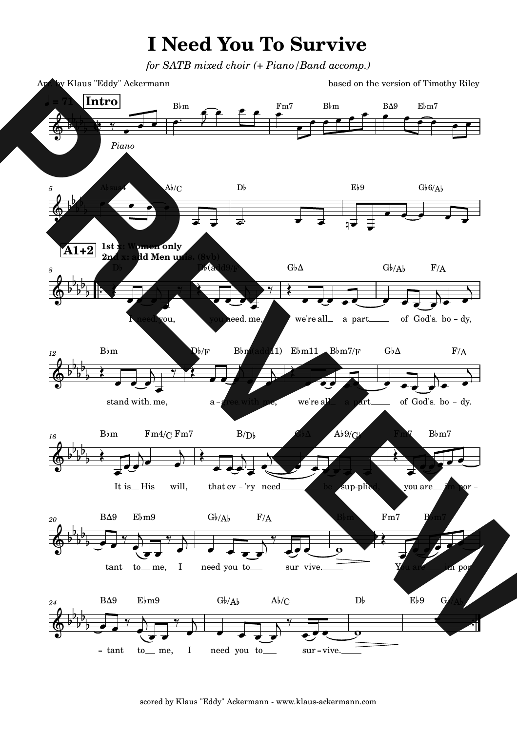## **I Need You To Survive**

*for SATB mixed choir (+ Piano/Band accomp.)*